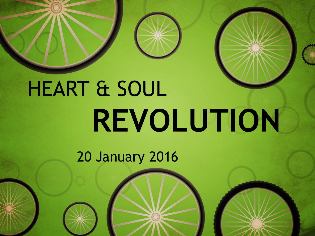

# HEART & SOUL **REVOLUTION**

20 January 2016

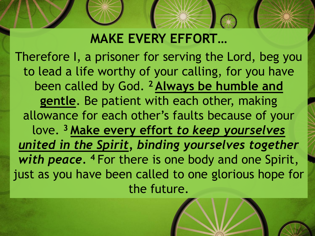### **MAKE EVERY EFFORT…**

Therefore I, a prisoner for serving the Lord, beg you to lead a life worthy of your calling, for you have been called by God. **<sup>2</sup> Always be humble and gentle**. Be patient with each other, making allowance for each other's faults because of your love. **<sup>3</sup> Make every effort** *to keep yourselves united in the Spirit, binding yourselves together with peace.* **<sup>4</sup>** For there is one body and one Spirit, just as you have been called to one glorious hope for the future.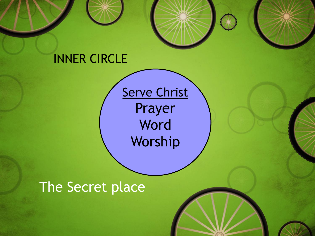#### INNER CIRCLE

Serve Christ Prayer Word Worship

#### The Secret place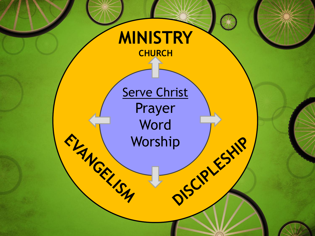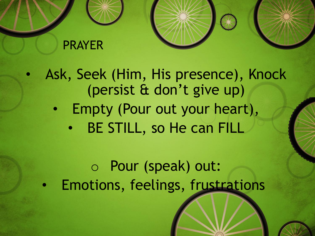#### PRAYER

- Ask, Seek (Him, His presence), Knock (persist & don't give up)
	- Empty (Pour out your heart),
		- BE STILL, so He can FILL

o Pour (speak) out: • Emotions, feelings, frustrations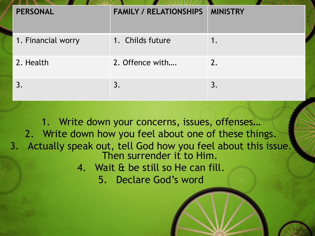| <b>PERSONAL</b>    | <b>FAMILY / RELATIONSHIPS</b> | <b>MINISTRY</b> |
|--------------------|-------------------------------|-----------------|
| 1. Financial worry | 1. Childs future              |                 |
| 2. Health          | 2. Offence with               | 2.              |
|                    | 3.                            | 3.              |

1. Write down your concerns, issues, offenses… 2. Write down how you feel about one of these things. 3. Actually speak out, tell God how you feel about this issue. Then surrender it to Him. 4. Wait & be still so He can fill.

5. Declare God's word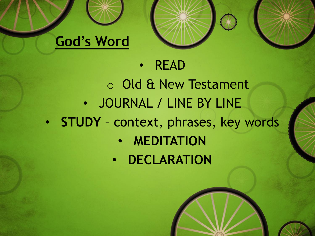

#### • READ

- o Old & New Testament • JOURNAL / LINE BY LINE • **STUDY** – context, phrases, key words
	- **MEDITATION**
	- **DECLARATION**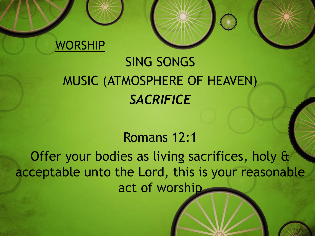

## SING SONGS MUSIC (ATMOSPHERE OF HEAVEN) *SACRIFICE*

#### Romans 12:1

Offer your bodies as living sacrifices, holy & acceptable unto the Lord, this is your reasonable act of worship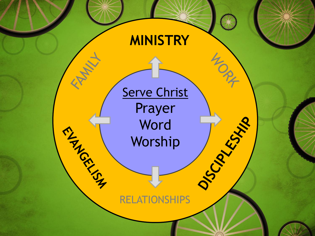## **MINISTRY**

40 PM

Serve Christ Prayer Word Worship Word<br>Worship<br>RELATIONSHIPS

**RAWAY** 

ANGEL 19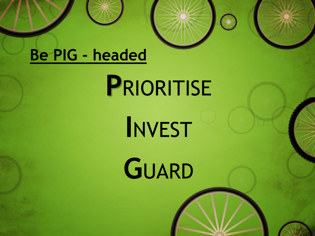## **Be PIG - headed**

## **P**RIORITISE

**I**NVEST

**G**UARD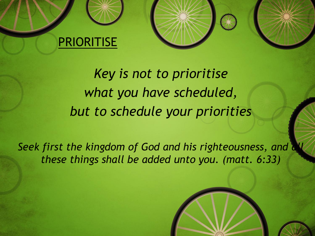#### PRIORITISE



*Seek first the kingdom of God and his righteousness, and all these things shall be added unto you. (matt. 6:33)*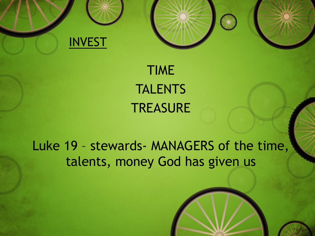

## TIME **TALENTS TREASURE**

#### Luke 19 – stewards- MANAGERS of the time, talents, money God has given us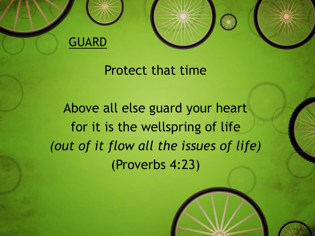



#### Protect that time

Above all else guard your heart for it is the wellspring of life *(out of it flow all the issues of life)* (Proverbs 4:23)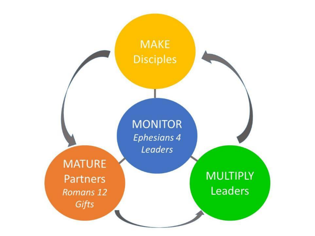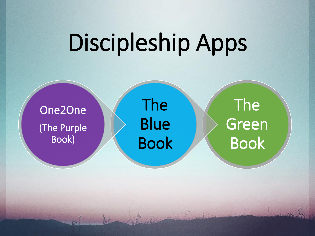## Discipleship Apps

One2One (The Purple Book)

The Blue Book

The Green Book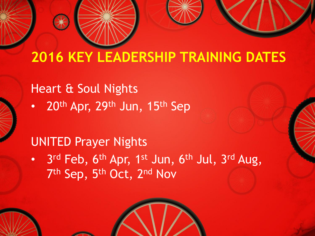## **2016 KEY LEADERSHIP TRAINING DATES**

#### Heart & Soul Nights

20th Apr, 29th Jun, 15th Sep

#### UNITED Prayer Nights

• 3<sup>rd</sup> Feb, 6<sup>th</sup> Apr, 1<sup>st</sup> Jun, 6<sup>th</sup> Jul, 3<sup>rd</sup> Aug, 7<sup>th</sup> Sep, 5<sup>th</sup> Oct, 2<sup>nd</sup> Nov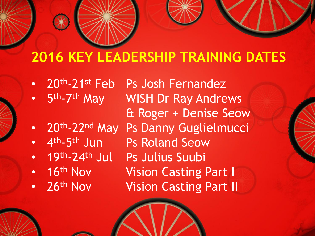## **2016 KEY LEADERSHIP TRAINING DATES**

- 20th-21st Feb Ps Josh Fernandez
- $\cdot$  5th.7 WISH Dr Ray Andrews & Roger + Denise Seow
- 20th-22nd May Ps Danny Guglielmucci
- $4<sup>th</sup> 5$ Ps Roland Seow
- 19th-24th Jul Ps Julius Suubi
- 
- 

• 16<sup>th</sup> Nov Vision Casting Part I 26<sup>th</sup> Nov Vision Casting Part II